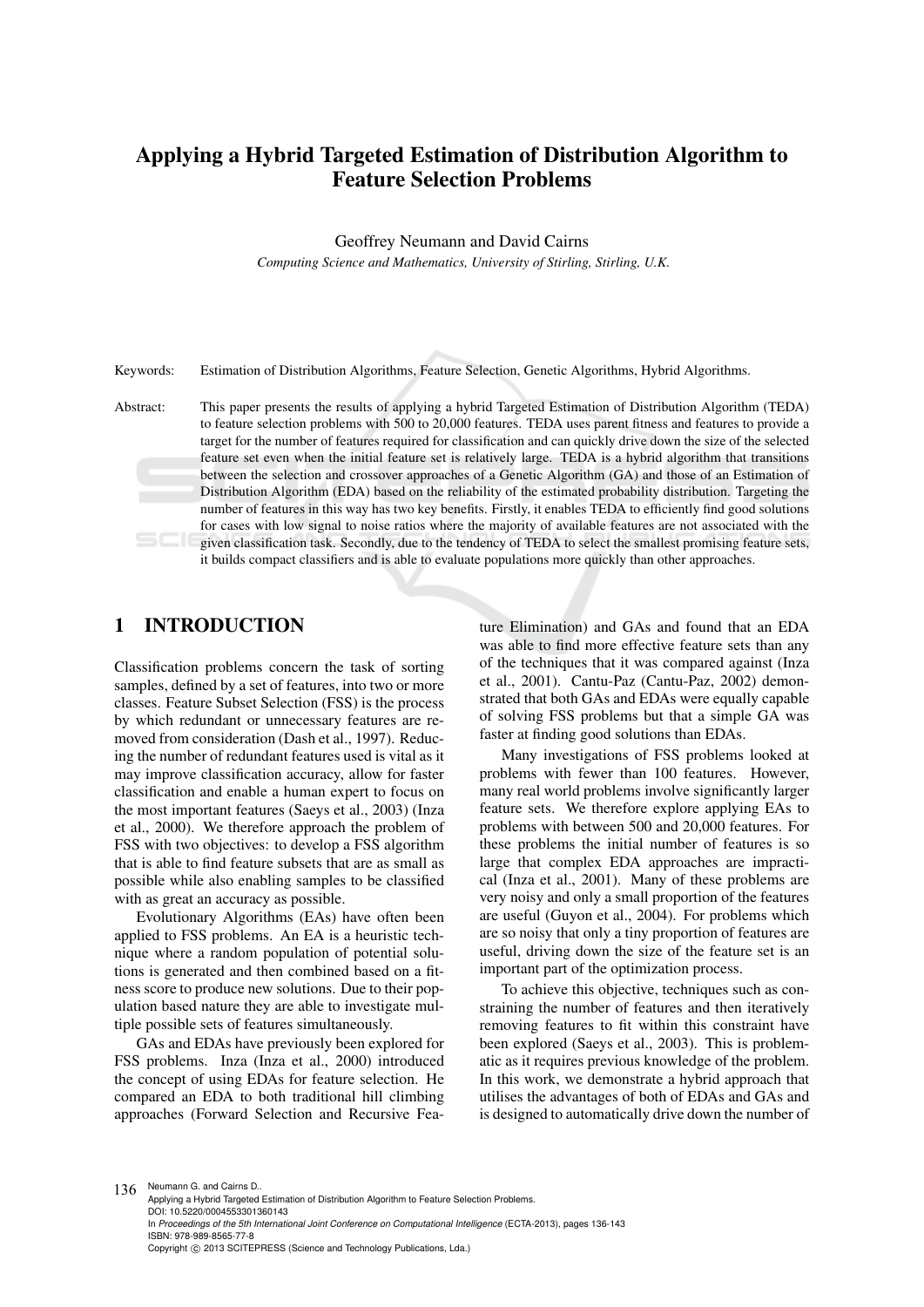# Applying a Hybrid Targeted Estimation of Distribution Algorithm to Feature Selection Problems

Geoffrey Neumann and David Cairns

*Computing Science and Mathematics, University of Stirling, Stirling, U.K.*

Keywords: Estimation of Distribution Algorithms, Feature Selection, Genetic Algorithms, Hybrid Algorithms.

Abstract: This paper presents the results of applying a hybrid Targeted Estimation of Distribution Algorithm (TEDA) to feature selection problems with 500 to 20,000 features. TEDA uses parent fitness and features to provide a target for the number of features required for classification and can quickly drive down the size of the selected feature set even when the initial feature set is relatively large. TEDA is a hybrid algorithm that transitions between the selection and crossover approaches of a Genetic Algorithm (GA) and those of an Estimation of Distribution Algorithm (EDA) based on the reliability of the estimated probability distribution. Targeting the number of features in this way has two key benefits. Firstly, it enables TEDA to efficiently find good solutions for cases with low signal to noise ratios where the majority of available features are not associated with the given classification task. Secondly, due to the tendency of TEDA to select the smallest promising feature sets, it builds compact classifiers and is able to evaluate populations more quickly than other approaches.

## 1 INTRODUCTION

Classification problems concern the task of sorting samples, defined by a set of features, into two or more classes. Feature Subset Selection (FSS) is the process by which redundant or unnecessary features are removed from consideration (Dash et al., 1997). Reducing the number of redundant features used is vital as it may improve classification accuracy, allow for faster classification and enable a human expert to focus on the most important features (Saeys et al., 2003) (Inza et al., 2000). We therefore approach the problem of FSS with two objectives: to develop a FSS algorithm that is able to find feature subsets that are as small as possible while also enabling samples to be classified with as great an accuracy as possible.

Evolutionary Algorithms (EAs) have often been applied to FSS problems. An EA is a heuristic technique where a random population of potential solutions is generated and then combined based on a fitness score to produce new solutions. Due to their population based nature they are able to investigate multiple possible sets of features simultaneously.

GAs and EDAs have previously been explored for FSS problems. Inza (Inza et al., 2000) introduced the concept of using EDAs for feature selection. He compared an EDA to both traditional hill climbing approaches (Forward Selection and Recursive Fea-

ture Elimination) and GAs and found that an EDA was able to find more effective feature sets than any of the techniques that it was compared against (Inza et al., 2001). Cantu-Paz (Cantu-Paz, 2002) demonstrated that both GAs and EDAs were equally capable of solving FSS problems but that a simple GA was faster at finding good solutions than EDAs.

Many investigations of FSS problems looked at problems with fewer than 100 features. However, many real world problems involve significantly larger feature sets. We therefore explore applying EAs to problems with between 500 and 20,000 features. For these problems the initial number of features is so large that complex EDA approaches are impractical (Inza et al., 2001). Many of these problems are very noisy and only a small proportion of the features are useful (Guyon et al., 2004). For problems which are so noisy that only a tiny proportion of features are useful, driving down the size of the feature set is an important part of the optimization process.

To achieve this objective, techniques such as constraining the number of features and then iteratively removing features to fit within this constraint have been explored (Saeys et al., 2003). This is problematic as it requires previous knowledge of the problem. In this work, we demonstrate a hybrid approach that utilises the advantages of both of EDAs and GAs and is designed to automatically drive down the number of

136 Neumann G. and Cairns D.. Applying a Hybrid Targeted Estimation of Distribution Algorithm to Feature Selection Problems. DOI: 10.5220/0004553301360143 In *Proceedings of the 5th International Joint Conference on Computational Intelligence* (ECTA-2013), pages 136-143 ISBN: 978-989-8565-77-8 Copyright © 2013 SCITEPRESS (Science and Technology Publications, Lda.)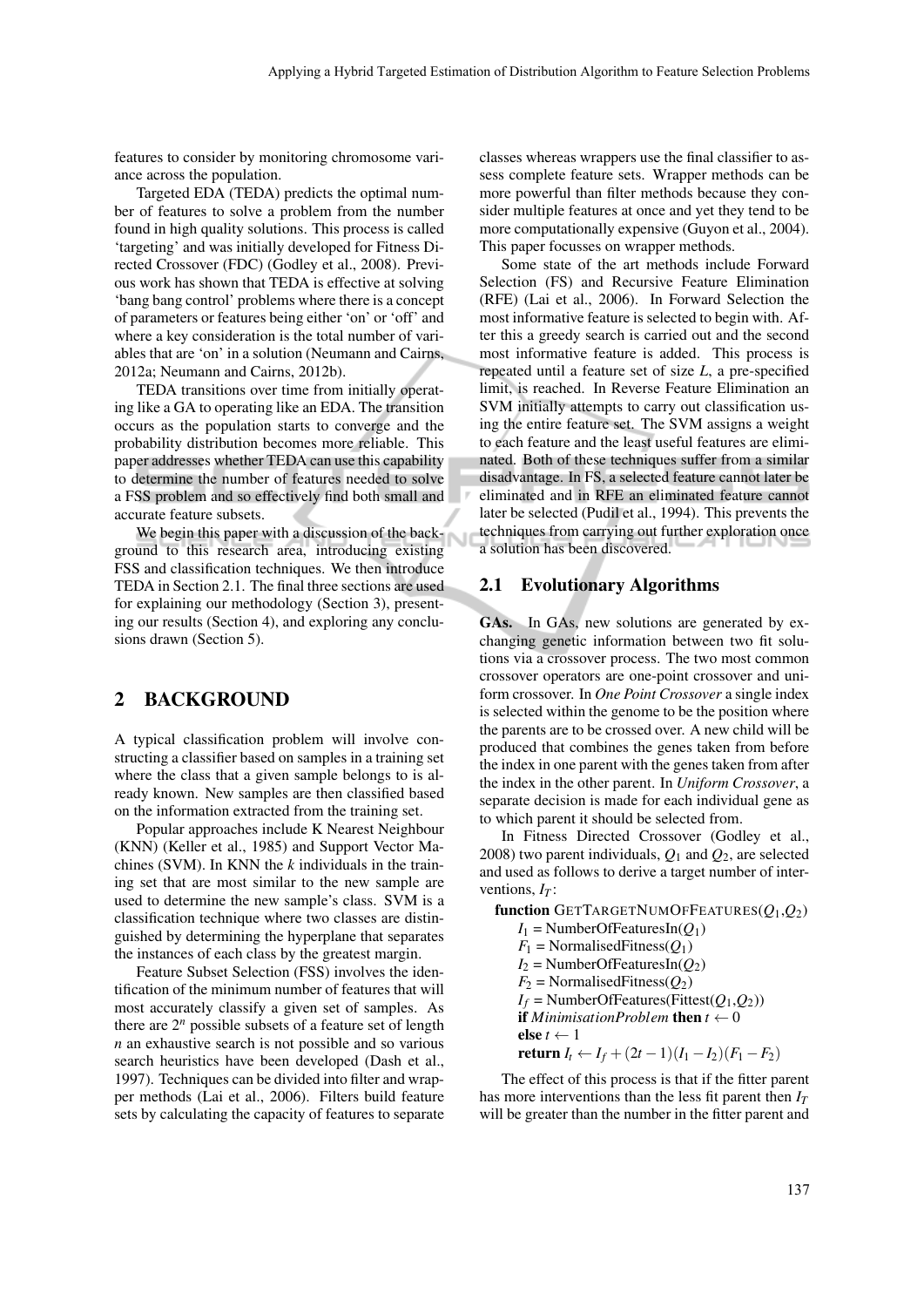features to consider by monitoring chromosome variance across the population.

Targeted EDA (TEDA) predicts the optimal number of features to solve a problem from the number found in high quality solutions. This process is called 'targeting' and was initially developed for Fitness Directed Crossover (FDC) (Godley et al., 2008). Previous work has shown that TEDA is effective at solving 'bang bang control' problems where there is a concept of parameters or features being either 'on' or 'off' and where a key consideration is the total number of variables that are 'on' in a solution (Neumann and Cairns, 2012a; Neumann and Cairns, 2012b).

TEDA transitions over time from initially operating like a GA to operating like an EDA. The transition occurs as the population starts to converge and the probability distribution becomes more reliable. This paper addresses whether TEDA can use this capability to determine the number of features needed to solve a FSS problem and so effectively find both small and accurate feature subsets.

We begin this paper with a discussion of the background to this research area, introducing existing FSS and classification techniques. We then introduce TEDA in Section 2.1. The final three sections are used for explaining our methodology (Section 3), presenting our results (Section 4), and exploring any conclusions drawn (Section 5).

#### 2 BACKGROUND

A typical classification problem will involve constructing a classifier based on samples in a training set where the class that a given sample belongs to is already known. New samples are then classified based on the information extracted from the training set.

Popular approaches include K Nearest Neighbour (KNN) (Keller et al., 1985) and Support Vector Machines (SVM). In KNN the *k* individuals in the training set that are most similar to the new sample are used to determine the new sample's class. SVM is a classification technique where two classes are distinguished by determining the hyperplane that separates the instances of each class by the greatest margin.

Feature Subset Selection (FSS) involves the identification of the minimum number of features that will most accurately classify a given set of samples. As there are  $2^n$  possible subsets of a feature set of length *n* an exhaustive search is not possible and so various search heuristics have been developed (Dash et al., 1997). Techniques can be divided into filter and wrapper methods (Lai et al., 2006). Filters build feature sets by calculating the capacity of features to separate classes whereas wrappers use the final classifier to assess complete feature sets. Wrapper methods can be more powerful than filter methods because they consider multiple features at once and yet they tend to be more computationally expensive (Guyon et al., 2004). This paper focusses on wrapper methods.

Some state of the art methods include Forward Selection (FS) and Recursive Feature Elimination (RFE) (Lai et al., 2006). In Forward Selection the most informative feature is selected to begin with. After this a greedy search is carried out and the second most informative feature is added. This process is repeated until a feature set of size *L*, a pre-specified limit, is reached. In Reverse Feature Elimination an SVM initially attempts to carry out classification using the entire feature set. The SVM assigns a weight to each feature and the least useful features are eliminated. Both of these techniques suffer from a similar disadvantage. In FS, a selected feature cannot later be eliminated and in RFE an eliminated feature cannot later be selected (Pudil et al., 1994). This prevents the techniques from carrying out further exploration once a solution has been discovered.

#### 2.1 Evolutionary Algorithms

GAs. In GAs, new solutions are generated by exchanging genetic information between two fit solutions via a crossover process. The two most common crossover operators are one-point crossover and uniform crossover. In *One Point Crossover* a single index is selected within the genome to be the position where the parents are to be crossed over. A new child will be produced that combines the genes taken from before the index in one parent with the genes taken from after the index in the other parent. In *Uniform Crossover*, a separate decision is made for each individual gene as to which parent it should be selected from.

In Fitness Directed Crossover (Godley et al., 2008) two parent individuals, *Q*<sup>1</sup> and *Q*2, are selected and used as follows to derive a target number of interventions,  $I_T$ :

function GETTARGETNUMOFFEATURES(*Q*1,*Q*2)  $I_1$  = NumberOfFeaturesIn( $Q_1$ )  $F_1$  = NormalisedFitness( $Q_1$ )  $I_2$  = NumberOfFeaturesIn( $Q_2$ )  $F_2$  = NormalisedFitness( $Q_2$ )  $I_f$  = NumberOfFeatures(Fittest( $Q_1$ , $Q_2$ )) **if** *MinimisationProblem* **then**  $t \leftarrow 0$ else  $t \leftarrow 1$ return  $I_t \leftarrow I_f + (2t - 1)(I_1 - I_2)(F_1 - F_2)$ 

The effect of this process is that if the fitter parent has more interventions than the less fit parent then *I<sup>T</sup>* will be greater than the number in the fitter parent and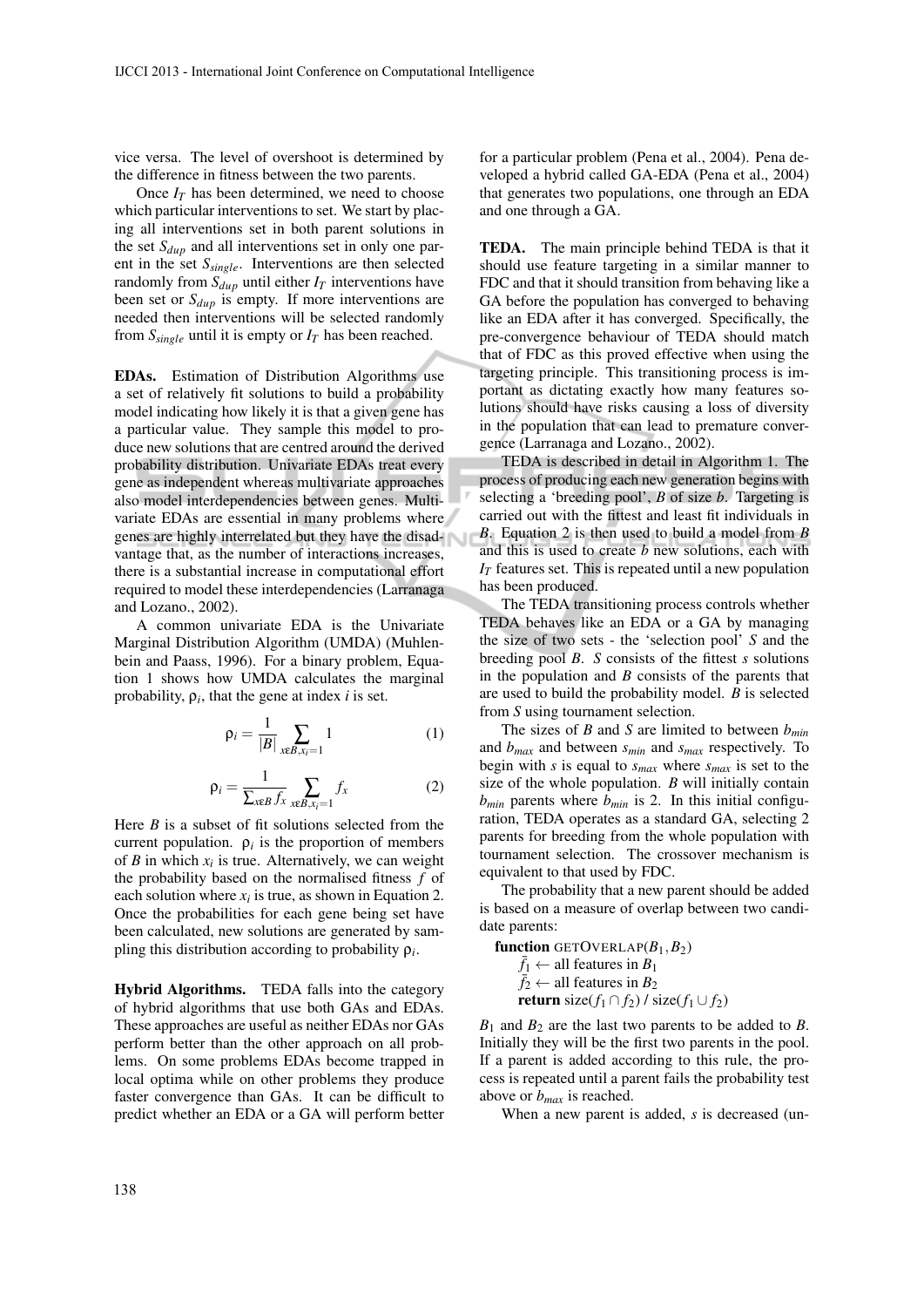vice versa. The level of overshoot is determined by the difference in fitness between the two parents.

Once  $I_T$  has been determined, we need to choose which particular interventions to set. We start by placing all interventions set in both parent solutions in the set *Sdup* and all interventions set in only one parent in the set *Ssingle*. Interventions are then selected randomly from  $S_{dup}$  until either  $I_T$  interventions have been set or *Sdup* is empty. If more interventions are needed then interventions will be selected randomly from  $S_{single}$  until it is empty or  $I_T$  has been reached.

EDAs. Estimation of Distribution Algorithms use a set of relatively fit solutions to build a probability model indicating how likely it is that a given gene has a particular value. They sample this model to produce new solutions that are centred around the derived probability distribution. Univariate EDAs treat every gene as independent whereas multivariate approaches also model interdependencies between genes. Multivariate EDAs are essential in many problems where genes are highly interrelated but they have the disadvantage that, as the number of interactions increases, there is a substantial increase in computational effort required to model these interdependencies (Larranaga and Lozano., 2002).

A common univariate EDA is the Univariate Marginal Distribution Algorithm (UMDA) (Muhlenbein and Paass, 1996). For a binary problem, Equation 1 shows how UMDA calculates the marginal probability,  $\rho_i$ , that the gene at index *i* is set.

$$
\rho_i = \frac{1}{|B|} \sum_{x \in B, x_i = 1} 1 \tag{1}
$$

$$
\rho_i = \frac{1}{\sum_{x \in B} f_x} \sum_{x \in B, x_i = 1} f_x \tag{2}
$$

Here *B* is a subset of fit solutions selected from the current population.  $\rho_i$  is the proportion of members of *B* in which  $x_i$  is true. Alternatively, we can weight the probability based on the normalised fitness *f* of each solution where  $x_i$  is true, as shown in Equation 2. Once the probabilities for each gene being set have been calculated, new solutions are generated by sampling this distribution according to probability ρ*<sup>i</sup>* .

Hybrid Algorithms. TEDA falls into the category of hybrid algorithms that use both GAs and EDAs. These approaches are useful as neither EDAs nor GAs perform better than the other approach on all problems. On some problems EDAs become trapped in local optima while on other problems they produce faster convergence than GAs. It can be difficult to predict whether an EDA or a GA will perform better for a particular problem (Pena et al., 2004). Pena developed a hybrid called GA-EDA (Pena et al., 2004) that generates two populations, one through an EDA and one through a GA.

TEDA. The main principle behind TEDA is that it should use feature targeting in a similar manner to FDC and that it should transition from behaving like a GA before the population has converged to behaving like an EDA after it has converged. Specifically, the pre-convergence behaviour of TEDA should match that of FDC as this proved effective when using the targeting principle. This transitioning process is important as dictating exactly how many features solutions should have risks causing a loss of diversity in the population that can lead to premature convergence (Larranaga and Lozano., 2002).

TEDA is described in detail in Algorithm 1. The process of producing each new generation begins with selecting a 'breeding pool', *B* of size *b*. Targeting is carried out with the fittest and least fit individuals in *B*. Equation 2 is then used to build a model from *B* and this is used to create *b* new solutions, each with  $I_T$  features set. This is repeated until a new population has been produced.

The TEDA transitioning process controls whether TEDA behaves like an EDA or a GA by managing the size of two sets - the 'selection pool' *S* and the breeding pool *B*. *S* consists of the fittest *s* solutions in the population and *B* consists of the parents that are used to build the probability model. *B* is selected from *S* using tournament selection.

The sizes of *B* and *S* are limited to between *bmin* and *bmax* and between *smin* and *smax* respectively. To begin with *s* is equal to *smax* where *smax* is set to the size of the whole population. *B* will initially contain  $b_{min}$  parents where  $b_{min}$  is 2. In this initial configuration, TEDA operates as a standard GA, selecting 2 parents for breeding from the whole population with tournament selection. The crossover mechanism is equivalent to that used by FDC.

The probability that a new parent should be added is based on a measure of overlap between two candidate parents:

function GETOVERLAP $(B_1, B_2)$  $\bar{f}_1 \leftarrow$  all features in  $B_1$  $\bar{f}_2 \leftarrow$  all features in  $B_2$ return size( $f_1 \cap f_2$ ) / size( $f_1 \cup f_2$ )

 $B_1$  and  $B_2$  are the last two parents to be added to *B*. Initially they will be the first two parents in the pool. If a parent is added according to this rule, the process is repeated until a parent fails the probability test above or *bmax* is reached.

When a new parent is added, *s* is decreased (un-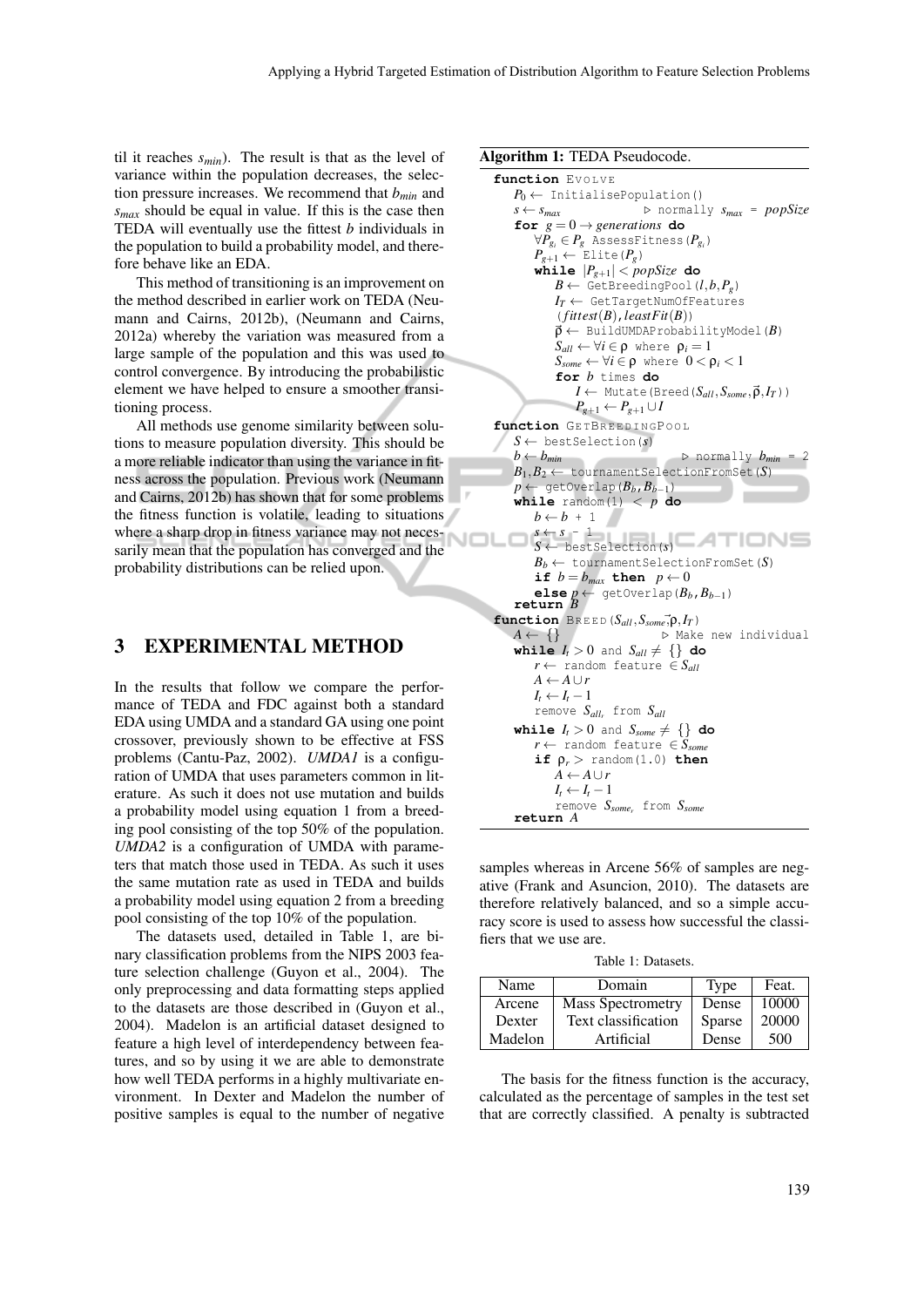til it reaches *smin*). The result is that as the level of variance within the population decreases, the selection pressure increases. We recommend that *bmin* and *smax* should be equal in value. If this is the case then TEDA will eventually use the fittest *b* individuals in the population to build a probability model, and therefore behave like an EDA.

This method of transitioning is an improvement on the method described in earlier work on TEDA (Neumann and Cairns, 2012b), (Neumann and Cairns, 2012a) whereby the variation was measured from a large sample of the population and this was used to control convergence. By introducing the probabilistic element we have helped to ensure a smoother transitioning process.

All methods use genome similarity between solutions to measure population diversity. This should be a more reliable indicator than using the variance in fitness across the population. Previous work (Neumann and Cairns, 2012b) has shown that for some problems the fitness function is volatile, leading to situations where a sharp drop in fitness variance may not necessarily mean that the population has converged and the probability distributions can be relied upon.

## 3 EXPERIMENTAL METHOD

In the results that follow we compare the performance of TEDA and FDC against both a standard EDA using UMDA and a standard GA using one point crossover, previously shown to be effective at FSS problems (Cantu-Paz, 2002). *UMDA1* is a configuration of UMDA that uses parameters common in literature. As such it does not use mutation and builds a probability model using equation 1 from a breeding pool consisting of the top 50% of the population. *UMDA2* is a configuration of UMDA with parameters that match those used in TEDA. As such it uses the same mutation rate as used in TEDA and builds a probability model using equation 2 from a breeding pool consisting of the top 10% of the population.

The datasets used, detailed in Table 1, are binary classification problems from the NIPS 2003 feature selection challenge (Guyon et al., 2004). The only preprocessing and data formatting steps applied to the datasets are those described in (Guyon et al., 2004). Madelon is an artificial dataset designed to feature a high level of interdependency between features, and so by using it we are able to demonstrate how well TEDA performs in a highly multivariate environment. In Dexter and Madelon the number of positive samples is equal to the number of negative

#### Algorithm 1: TEDA Pseudocode.

```
function EVOLVE
    P_0 \leftarrow InitialisePopulation()<br>s \leftarrow s_{max} > normal
                                  s ← smax . normally smax = popSize
    for g = 0 \rightarrow generations do
         \forall P_{g_i} \in P_g AssessFitness(P_{g_i})
         P_{g+1} \leftarrow Elite(P_g)
         while |P_{g+1}| < popSize do
              B \leftarrow GetBreedingPool(l, b, P_g)
              I_T \leftarrow GetTargetNumOfFeatures
              (fittest(B), leastFit(B))\vec{\rho} \leftarrow BuildUMDAProbabilityModel(B)
              S_{all} \leftarrow \forall i \in \rho where \rho_i = 1S_{some} \leftarrow \forall i \in \rho where 0 < \rho_i < 1for b times do
                   I \leftarrow Mutate(Breed(S_{all}, S_{some}, \vec{\rho}, I_T))
                  P<sub>g+1</sub> ← P<sub>g+1</sub> ∪ I
function GETBREEDINGPOOL
    S \leftarrow bestSelection(s)<br>b \leftarrow b_{min}\triangleright normally b_{min}B_1, B_2 \leftarrow tournamentSelectionFromSet(S)
    p \leftarrow getOverlap(B_b, B_{b-1})
    while random(1) < p do
         b \leftarrow b + 1s \leftarrow s - 1S \leftarrow bestSelection(s)
         B_b \leftarrow tournamentSelectionFromSet(S)
          if b = b_{max} then p \leftarrow 0else p ← getOverlap(Bb,Bb−1)
return B
function BREED(S_{all}, S_{some}<sup>\vec{p}</sup>, I_T)<br>A \leftarrow \{\} \triangleright Make
                                      A ← {} . Make new individual
    while I_t > 0 and S_{all} \neq \{\} do
         r \leftarrow random feature \in S_{all}A \leftarrow A \cup rI_t \leftarrow I_t - 1remove Sallr from Sall
    while I_t > 0 and S_{some} \neq \{\} do
         r \leftarrow random feature \in S_{some}if \rho_r > random(1.0) then
              A \leftarrow A \cup rI_t \leftarrow I_t - 1remove Ssomer from Ssome
     return A
```
samples whereas in Arcene 56% of samples are negative (Frank and Asuncion, 2010). The datasets are therefore relatively balanced, and so a simple accuracy score is used to assess how successful the classifiers that we use are.

Table 1: Datasets.

| Name    | Domain                   | Type   | Feat. |
|---------|--------------------------|--------|-------|
| Arcene  | <b>Mass Spectrometry</b> | Dense  | 10000 |
| Dexter  | Text classification      | Sparse | 20000 |
| Madelon | Artificial               | Dense  | 500   |

The basis for the fitness function is the accuracy, calculated as the percentage of samples in the test set that are correctly classified. A penalty is subtracted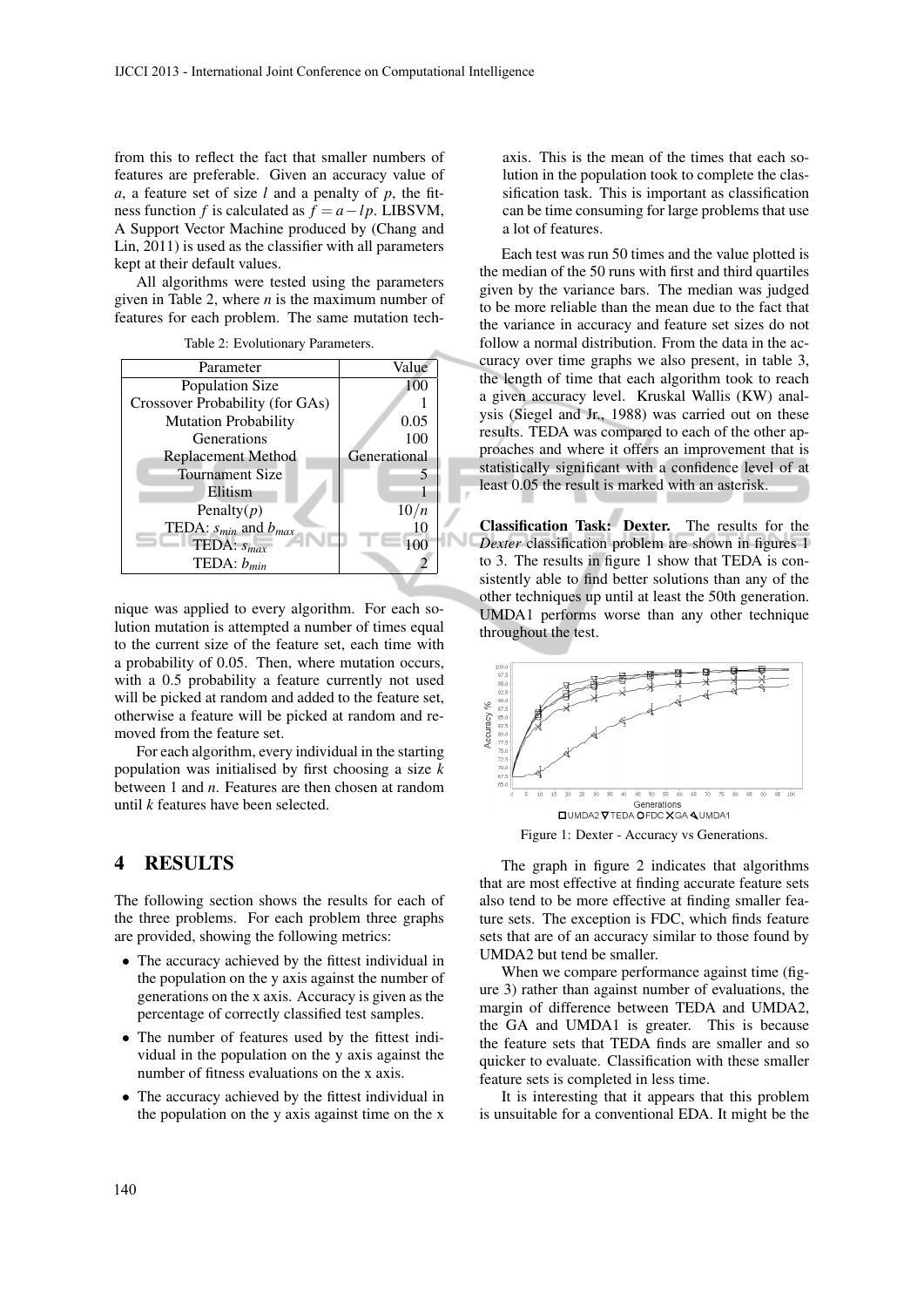from this to reflect the fact that smaller numbers of features are preferable. Given an accuracy value of *a*, a feature set of size *l* and a penalty of *p*, the fitness function *f* is calculated as  $f = a - lp$ . LIBSVM, A Support Vector Machine produced by (Chang and Lin, 2011) is used as the classifier with all parameters kept at their default values.

All algorithms were tested using the parameters given in Table 2, where *n* is the maximum number of features for each problem. The same mutation tech-



Table 2: Evolutionary Parameters.

nique was applied to every algorithm. For each solution mutation is attempted a number of times equal to the current size of the feature set, each time with a probability of 0.05. Then, where mutation occurs, with a 0.5 probability a feature currently not used will be picked at random and added to the feature set, otherwise a feature will be picked at random and removed from the feature set.

For each algorithm, every individual in the starting population was initialised by first choosing a size *k* between 1 and *n*. Features are then chosen at random until *k* features have been selected.

### 4 RESULTS

The following section shows the results for each of the three problems. For each problem three graphs are provided, showing the following metrics:

- The accuracy achieved by the fittest individual in the population on the y axis against the number of generations on the x axis. Accuracy is given as the percentage of correctly classified test samples.
- The number of features used by the fittest individual in the population on the y axis against the number of fitness evaluations on the x axis.
- The accuracy achieved by the fittest individual in the population on the y axis against time on the x

axis. This is the mean of the times that each solution in the population took to complete the classification task. This is important as classification can be time consuming for large problems that use a lot of features.

Each test was run 50 times and the value plotted is the median of the 50 runs with first and third quartiles given by the variance bars. The median was judged to be more reliable than the mean due to the fact that the variance in accuracy and feature set sizes do not follow a normal distribution. From the data in the accuracy over time graphs we also present, in table 3, the length of time that each algorithm took to reach a given accuracy level. Kruskal Wallis (KW) analysis (Siegel and Jr., 1988) was carried out on these results. TEDA was compared to each of the other approaches and where it offers an improvement that is statistically significant with a confidence level of at least 0.05 the result is marked with an asterisk.

Classification Task: Dexter. The results for the *Dexter* classification problem are shown in figures 1 to 3. The results in figure 1 show that TEDA is consistently able to find better solutions than any of the other techniques up until at least the 50th generation. UMDA1 performs worse than any other technique throughout the test.



Figure 1: Dexter - Accuracy vs Generations.

The graph in figure 2 indicates that algorithms that are most effective at finding accurate feature sets also tend to be more effective at finding smaller feature sets. The exception is FDC, which finds feature sets that are of an accuracy similar to those found by UMDA2 but tend be smaller.

When we compare performance against time (figure 3) rather than against number of evaluations, the margin of difference between TEDA and UMDA2, the GA and UMDA1 is greater. This is because the feature sets that TEDA finds are smaller and so quicker to evaluate. Classification with these smaller feature sets is completed in less time.

It is interesting that it appears that this problem is unsuitable for a conventional EDA. It might be the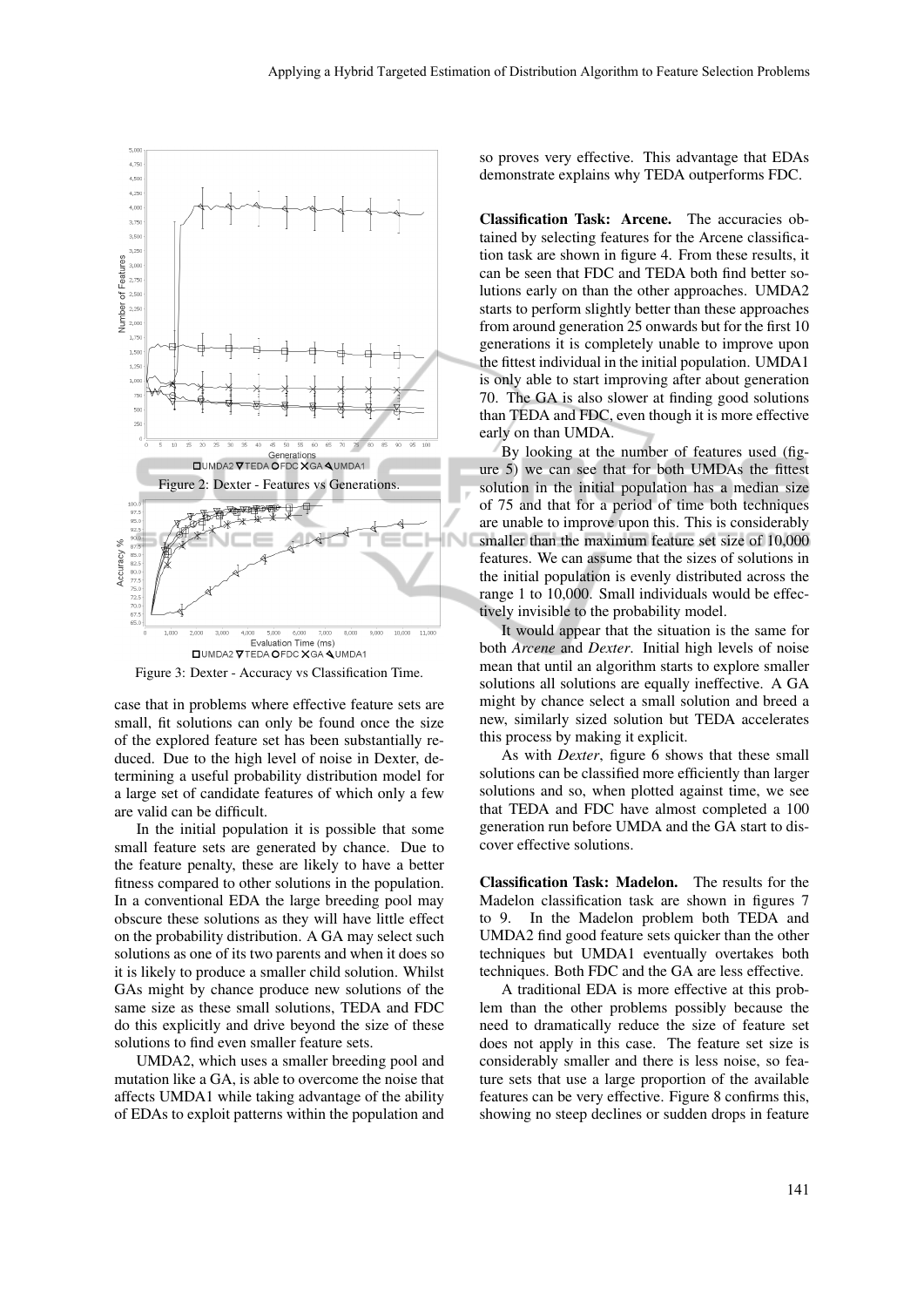

Figure 3: Dexter - Accuracy vs Classification Time.

case that in problems where effective feature sets are small, fit solutions can only be found once the size of the explored feature set has been substantially reduced. Due to the high level of noise in Dexter, determining a useful probability distribution model for a large set of candidate features of which only a few are valid can be difficult.

In the initial population it is possible that some small feature sets are generated by chance. Due to the feature penalty, these are likely to have a better fitness compared to other solutions in the population. In a conventional EDA the large breeding pool may obscure these solutions as they will have little effect on the probability distribution. A GA may select such solutions as one of its two parents and when it does so it is likely to produce a smaller child solution. Whilst GAs might by chance produce new solutions of the same size as these small solutions, TEDA and FDC do this explicitly and drive beyond the size of these solutions to find even smaller feature sets.

UMDA2, which uses a smaller breeding pool and mutation like a GA, is able to overcome the noise that affects UMDA1 while taking advantage of the ability of EDAs to exploit patterns within the population and

so proves very effective. This advantage that EDAs demonstrate explains why TEDA outperforms FDC.

Classification Task: Arcene. The accuracies obtained by selecting features for the Arcene classification task are shown in figure 4. From these results, it can be seen that FDC and TEDA both find better solutions early on than the other approaches. UMDA2 starts to perform slightly better than these approaches from around generation 25 onwards but for the first 10 generations it is completely unable to improve upon the fittest individual in the initial population. UMDA1 is only able to start improving after about generation 70. The GA is also slower at finding good solutions than TEDA and FDC, even though it is more effective early on than UMDA.

By looking at the number of features used (figure 5) we can see that for both UMDAs the fittest solution in the initial population has a median size of 75 and that for a period of time both techniques are unable to improve upon this. This is considerably smaller than the maximum feature set size of 10,000 features. We can assume that the sizes of solutions in the initial population is evenly distributed across the range 1 to 10,000. Small individuals would be effectively invisible to the probability model.

It would appear that the situation is the same for both *Arcene* and *Dexter*. Initial high levels of noise mean that until an algorithm starts to explore smaller solutions all solutions are equally ineffective. A GA might by chance select a small solution and breed a new, similarly sized solution but TEDA accelerates this process by making it explicit.

As with *Dexter*, figure 6 shows that these small solutions can be classified more efficiently than larger solutions and so, when plotted against time, we see that TEDA and FDC have almost completed a 100 generation run before UMDA and the GA start to discover effective solutions.

Classification Task: Madelon. The results for the Madelon classification task are shown in figures 7 to 9. In the Madelon problem both TEDA and UMDA2 find good feature sets quicker than the other techniques but UMDA1 eventually overtakes both techniques. Both FDC and the GA are less effective.

A traditional EDA is more effective at this problem than the other problems possibly because the need to dramatically reduce the size of feature set does not apply in this case. The feature set size is considerably smaller and there is less noise, so feature sets that use a large proportion of the available features can be very effective. Figure 8 confirms this, showing no steep declines or sudden drops in feature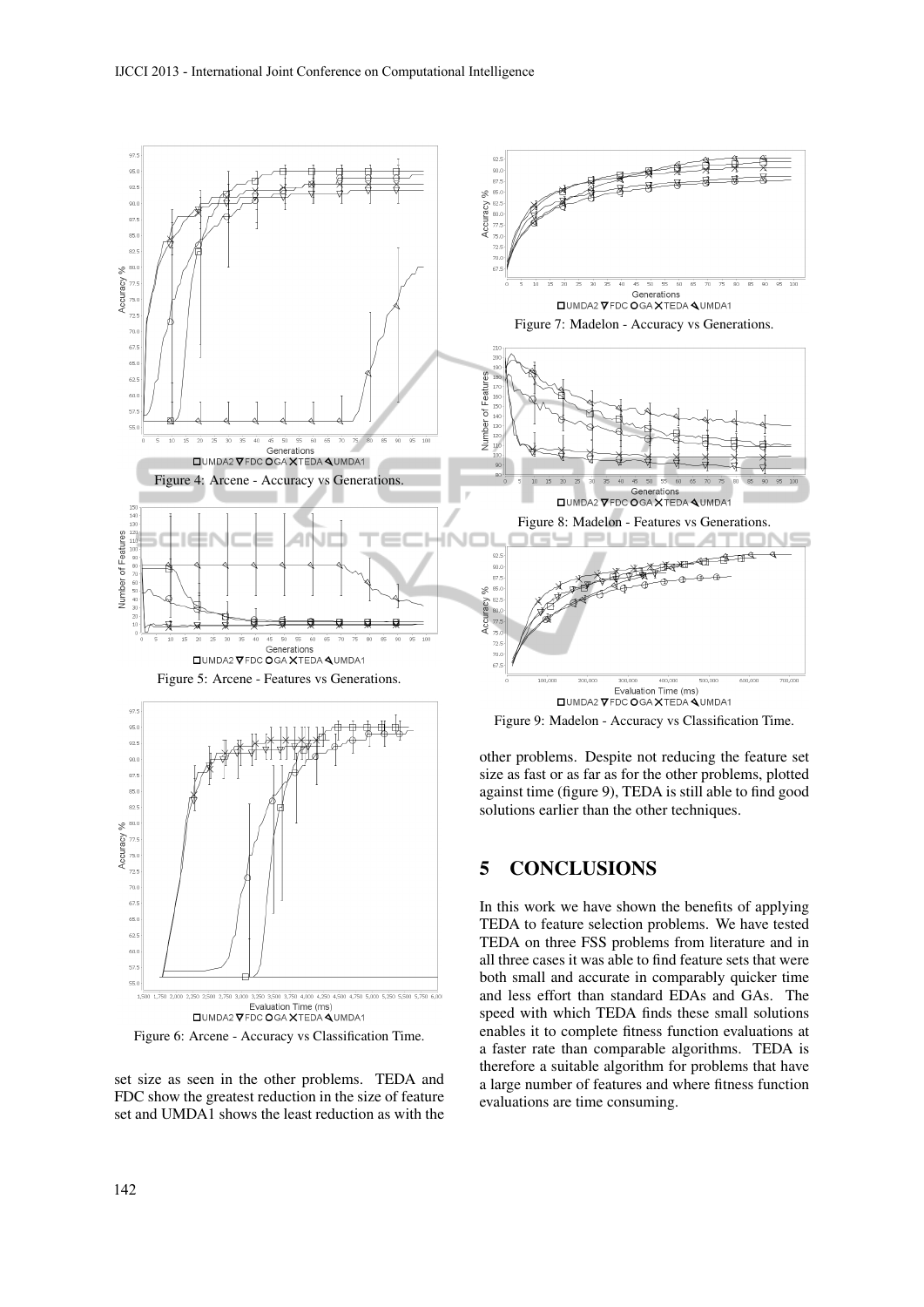

In this work we have shown the benefits of applying TEDA to feature selection problems. We have tested TEDA on three FSS problems from literature and in all three cases it was able to find feature sets that were both small and accurate in comparably quicker time and less effort than standard EDAs and GAs. The speed with which TEDA finds these small solutions enables it to complete fitness function evaluations at a faster rate than comparable algorithms. TEDA is therefore a suitable algorithm for problems that have a large number of features and where fitness function evaluations are time consuming.

 $65.0$  $62.5$ 60.  $57.5$  $\alpha$ 

Figure 6: Arcene - Accuracy vs Classification Time.

 $4000 - 4250 - 4$ Evaluation Time (ms) **QUMDA2 VFDC OGA XTEDA QUMDA1** 

set size as seen in the other problems. TEDA and FDC show the greatest reduction in the size of feature set and UMDA1 shows the least reduction as with the